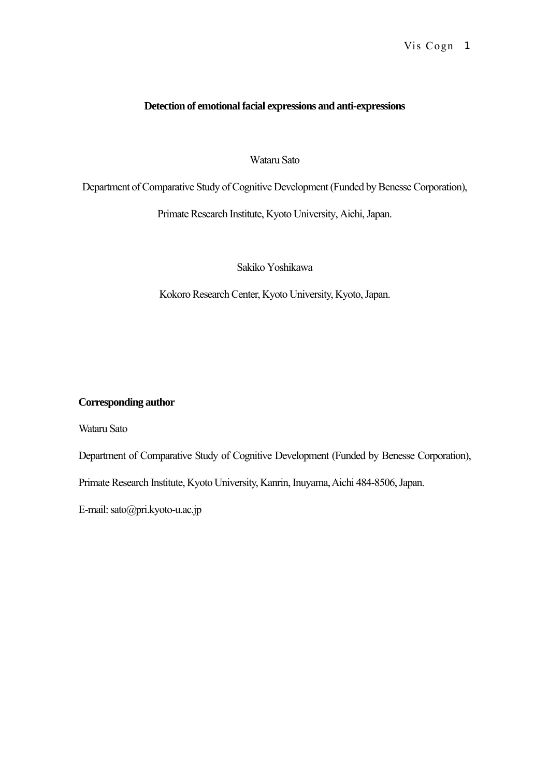# **Detection of emotional facial expressions and anti-expressions**

# Wataru Sato

Department of Comparative Study of Cognitive Development (Funded by Benesse Corporation),

Primate Research Institute, Kyoto University, Aichi, Japan.

Sakiko Yoshikawa

Kokoro Research Center, Kyoto University, Kyoto, Japan.

# **Corresponding author**

Wataru Sato

Department of Comparative Study of Cognitive Development (Funded by Benesse Corporation),

Primate Research Institute, Kyoto University, Kanrin, Inuyama, Aichi 484-8506, Japan.

E-mail: sato@pri.kyoto-u.ac.jp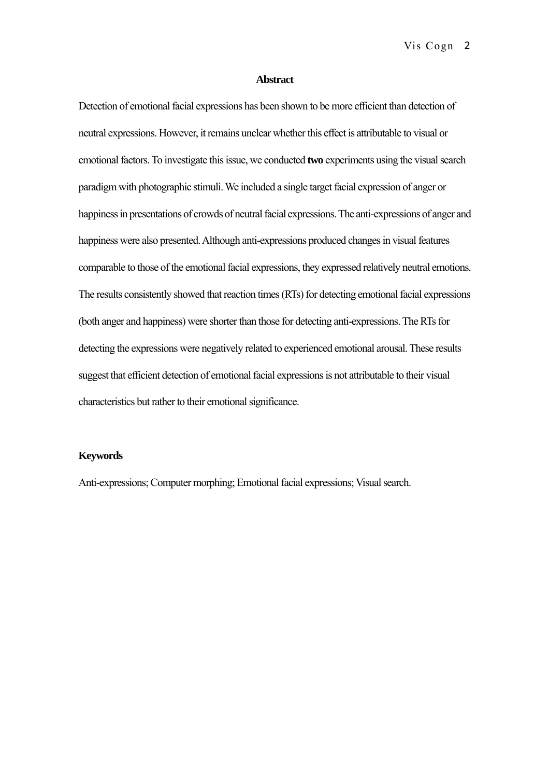## **Abstract**

Detection of emotional facial expressions has been shown to be more efficient than detection of neutral expressions. However, it remains unclear whether this effect is attributable to visual or emotional factors. To investigate this issue, we conducted **two** experiments using the visual search paradigm with photographic stimuli. We included a single target facial expression of anger or happiness in presentations of crowds of neutral facial expressions. The anti-expressions of anger and happiness were also presented. Although anti-expressions produced changes in visual features comparable to those of the emotional facial expressions, they expressed relatively neutral emotions. The results consistently showed that reaction times (RTs) for detecting emotional facial expressions (both anger and happiness) were shorter than those for detecting anti-expressions. The RTs for detecting the expressions were negatively related to experienced emotional arousal. These results suggest that efficient detection of emotional facial expressions is not attributable to their visual characteristics but rather to their emotional significance.

## **Keywords**

Anti-expressions; Computer morphing; Emotional facial expressions; Visual search.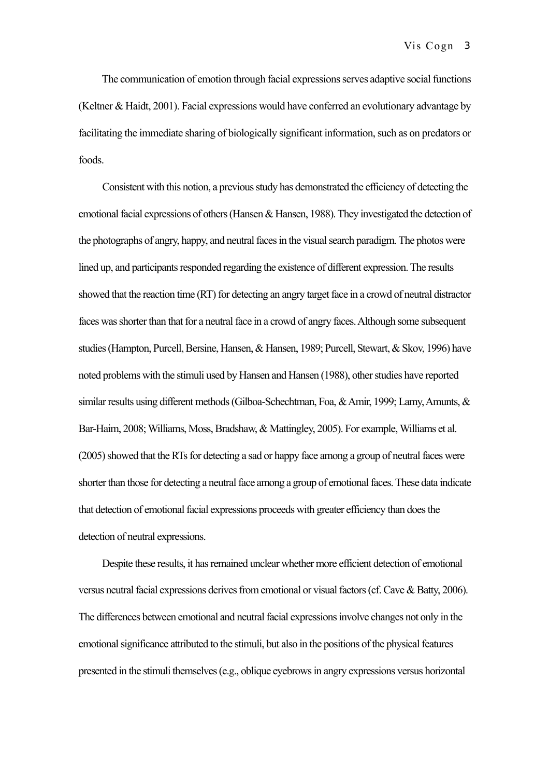The communication of emotion through facial expressions serves adaptive social functions (Keltner & Haidt, 2001). Facial expressions would have conferred an evolutionary advantage by facilitating the immediate sharing of biologically significant information, such as on predators or foods.

Consistent with this notion, a previous study has demonstrated the efficiency of detecting the emotional facial expressions of others (Hansen & Hansen, 1988). They investigated the detection of the photographs of angry, happy, and neutral faces in the visual search paradigm. The photos were lined up, and participants responded regarding the existence of different expression. The results showed that the reaction time (RT) for detecting an angry target face in a crowd of neutral distractor faces was shorter than that for a neutral face in a crowd of angry faces. Although some subsequent studies (Hampton, Purcell, Bersine, Hansen, & Hansen, 1989; Purcell, Stewart, & Skov, 1996) have noted problems with the stimuli used by Hansen and Hansen (1988), other studies have reported similar results using different methods (Gilboa-Schechtman, Foa, & Amir, 1999; Lamy, Amunts, & Bar-Haim, 2008; Williams, Moss, Bradshaw, & Mattingley, 2005). For example, Williams et al. (2005) showed that the RTs for detecting a sad or happy face among a group of neutral faces were shorter than those for detecting a neutral face among a group of emotional faces. These data indicate that detection of emotional facial expressions proceeds with greater efficiency than does the detection of neutral expressions.

Despite these results, it has remained unclear whether more efficient detection of emotional versus neutral facial expressions derives from emotional or visual factors (cf. Cave & Batty, 2006). The differences between emotional and neutral facial expressions involve changes not only in the emotional significance attributed to the stimuli, but also in the positions of the physical features presented in the stimuli themselves (e.g., oblique eyebrows in angry expressions versus horizontal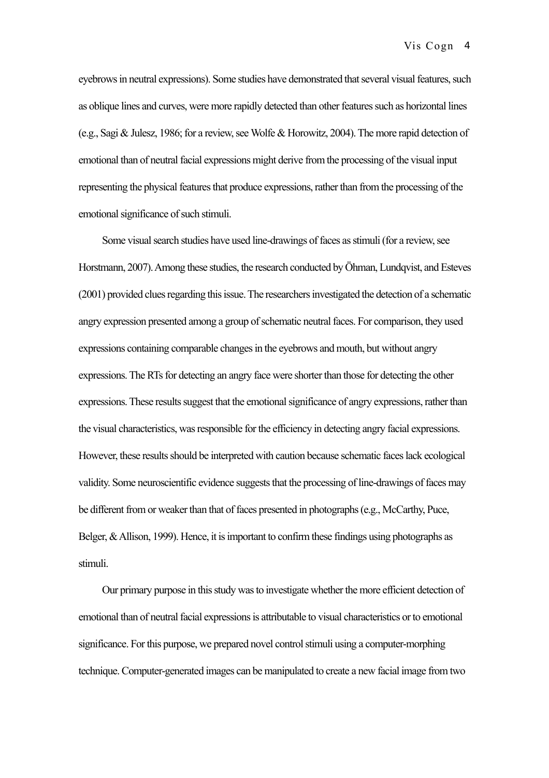eyebrows in neutral expressions). Some studies have demonstrated that several visual features, such as oblique lines and curves, were more rapidly detected than other features such as horizontal lines (e.g., Sagi & Julesz, 1986; for a review, see Wolfe & Horowitz, 2004). The more rapid detection of emotional than of neutral facial expressions might derive from the processing of the visual input representing the physical features that produce expressions, rather than from the processing of the emotional significance of such stimuli.

Some visual search studies have used line-drawings of faces as stimuli (for a review, see Horstmann, 2007). Among these studies, the research conducted by Öhman, Lundqvist, and Esteves (2001) provided clues regarding this issue. The researchers investigated the detection of a schematic angry expression presented among a group of schematic neutral faces. For comparison, they used expressions containing comparable changes in the eyebrows and mouth, but without angry expressions. The RTs for detecting an angry face were shorter than those for detecting the other expressions. These results suggest that the emotional significance of angry expressions, rather than the visual characteristics, was responsible for the efficiency in detecting angry facial expressions. However, these results should be interpreted with caution because schematic faces lack ecological validity. Some neuroscientific evidence suggests that the processing of line-drawings of faces may be different from or weaker than that of faces presented in photographs (e.g., McCarthy, Puce, Belger, & Allison, 1999). Hence, it is important to confirm these findings using photographs as stimuli.

Our primary purpose in this study was to investigate whether the more efficient detection of emotional than of neutral facial expressions is attributable to visual characteristics or to emotional significance. For this purpose, we prepared novel control stimuli using a computer-morphing technique. Computer-generated images can be manipulated to create a new facial image from two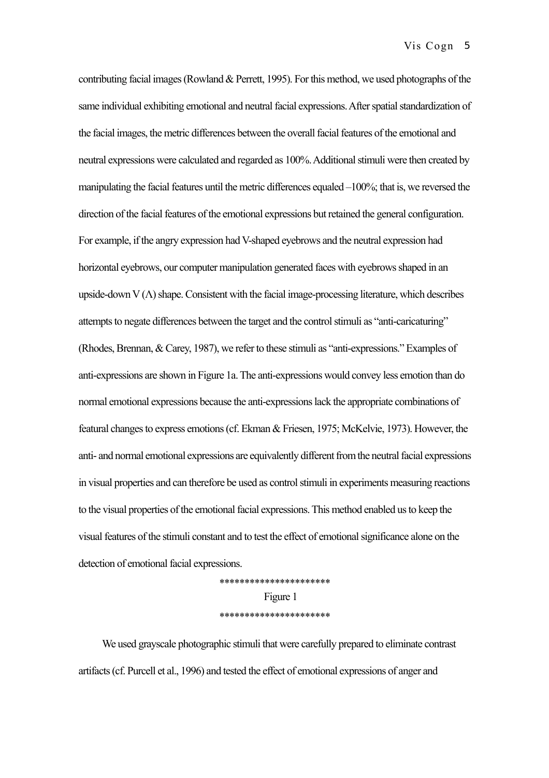contributing facial images (Rowland & Perrett, 1995). For this method, we used photographs of the same individual exhibiting emotional and neutral facial expressions. After spatial standardization of the facial images, the metric differences between the overall facial features of the emotional and neutral expressions were calculated and regarded as 100%. Additional stimuli were then created by manipulating the facial features until the metric differences equaled –100%; that is, we reversed the direction of the facial features of the emotional expressions but retained the general configuration. For example, if the angry expression had V-shaped eyebrows and the neutral expression had horizontal eyebrows, our computer manipulation generated faces with eyebrows shaped in an upside-down  $V(\Lambda)$  shape. Consistent with the facial image-processing literature, which describes attempts to negate differences between the target and the control stimuli as "anti-caricaturing" (Rhodes, Brennan, & Carey, 1987), we refer to these stimuli as "anti-expressions." Examples of anti-expressions are shown in Figure 1a. The anti-expressions would convey less emotion than do normal emotional expressions because the anti-expressions lack the appropriate combinations of featural changes to express emotions (cf. Ekman & Friesen, 1975; McKelvie, 1973). However, the anti- and normal emotional expressions are equivalently different from the neutral facial expressions in visual properties and can therefore be used as control stimuli in experiments measuring reactions to the visual properties of the emotional facial expressions. This method enabled us to keep the visual features of the stimuli constant and to test the effect of emotional significance alone on the detection of emotional facial expressions.

> \*\*\*\*\*\*\*\*\*\*\*\*\*\*\*\*\*\*\*\*\*\* Figure 1 \*\*\*\*\*\*\*\*\*\*\*\*\*\*\*\*\*\*\*\*\*\*

We used grayscale photographic stimuli that were carefully prepared to eliminate contrast artifacts (cf. Purcell et al., 1996) and tested the effect of emotional expressions of anger and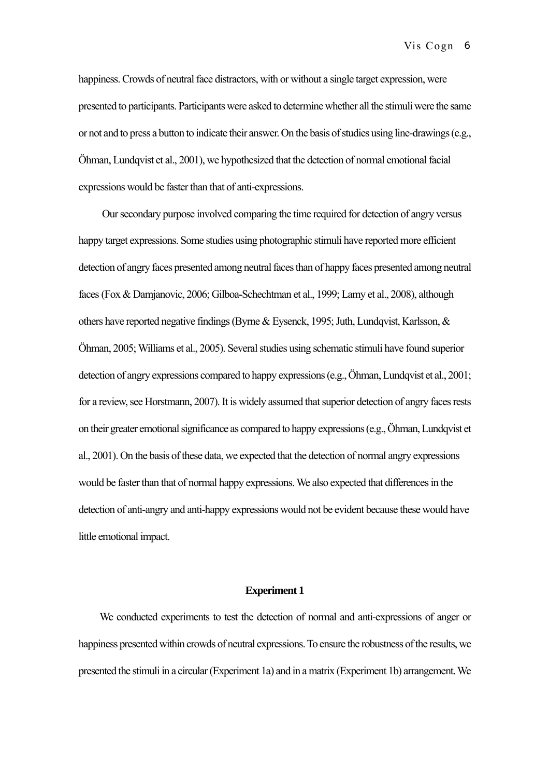happiness. Crowds of neutral face distractors, with or without a single target expression, were presented to participants. Participants were asked to determine whether all the stimuli were the same or not and to press a button to indicate their answer. On the basis of studies using line-drawings (e.g., Öhman, Lundqvist et al., 2001), we hypothesized that the detection of normal emotional facial expressions would be faster than that of anti-expressions.

Our secondary purpose involved comparing the time required for detection of angry versus happy target expressions. Some studies using photographic stimuli have reported more efficient detection of angry faces presented among neutral faces than of happy faces presented among neutral faces(Fox & Damjanovic, 2006; Gilboa-Schechtman et al., 1999; Lamy et al., 2008), although others have reported negative findings (Byrne & Eysenck, 1995; Juth, Lundqvist, Karlsson,  $\&$ Öhman, 2005; Williams et al., 2005). Several studies using schematic stimuli have found superior detection of angry expressions compared to happy expressions (e.g., Öhman, Lundqvist et al., 2001; for a review, see Horstmann, 2007). It is widely assumed that superior detection of angry faces rests on their greater emotional significance as compared to happy expressions (e.g., Öhman, Lundqvist et al., 2001). On the basis of these data, we expected that the detection of normal angry expressions would be faster than that of normal happy expressions. We also expected that differences in the detection of anti-angry and anti-happy expressions would not be evident because these would have little emotional impact.

## **Experiment 1**

We conducted experiments to test the detection of normal and anti-expressions of anger or happiness presented within crowds of neutral expressions. To ensure the robustness of the results, we presented the stimuli in a circular (Experiment 1a) and in a matrix (Experiment 1b) arrangement. We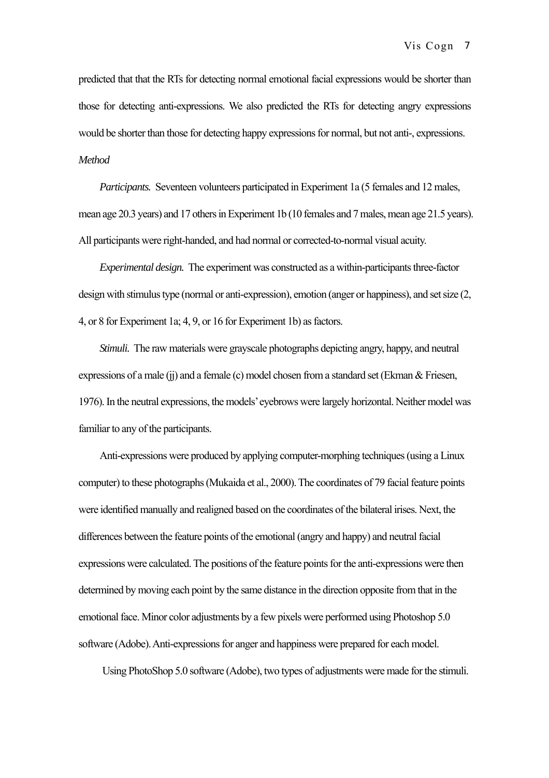predicted that that the RTs for detecting normal emotional facial expressions would be shorter than those for detecting anti-expressions. We also predicted the RTs for detecting angry expressions would be shorter than those for detecting happy expressions for normal, but not anti-, expressions. *Method* 

*Participants.* Seventeen volunteers participated in Experiment 1a (5 females and 12 males, mean age 20.3 years) and 17 others in Experiment 1b (10 females and 7 males, mean age 21.5 years). All participants were right-handed, and had normal or corrected-to-normal visual acuity.

*Experimental design.* The experiment was constructed as a within-participants three-factor design with stimulus type (normal or anti-expression), emotion (anger or happiness), and set size (2, 4, or 8 for Experiment 1a; 4, 9, or 16 for Experiment 1b) as factors.

*Stimuli.* The raw materials were grayscale photographs depicting angry, happy, and neutral expressions of a male (ij) and a female (c) model chosen from a standard set (Ekman  $\&$  Friesen, 1976). In the neutral expressions, the models' eyebrows were largely horizontal. Neither model was familiar to any of the participants.

Anti-expressions were produced by applying computer-morphing techniques (using a Linux computer) to these photographs (Mukaida et al., 2000). The coordinates of 79 facial feature points were identified manually and realigned based on the coordinates of the bilateral irises. Next, the differences between the feature points of the emotional (angry and happy) and neutral facial expressions were calculated. The positions of the feature points for the anti-expressions were then determined by moving each point by the same distance in the direction opposite from that in the emotional face. Minor color adjustments by a few pixels were performed using Photoshop 5.0 software (Adobe). Anti-expressions for anger and happiness were prepared for each model.

Using PhotoShop 5.0 software (Adobe), two types of adjustments were made for the stimuli.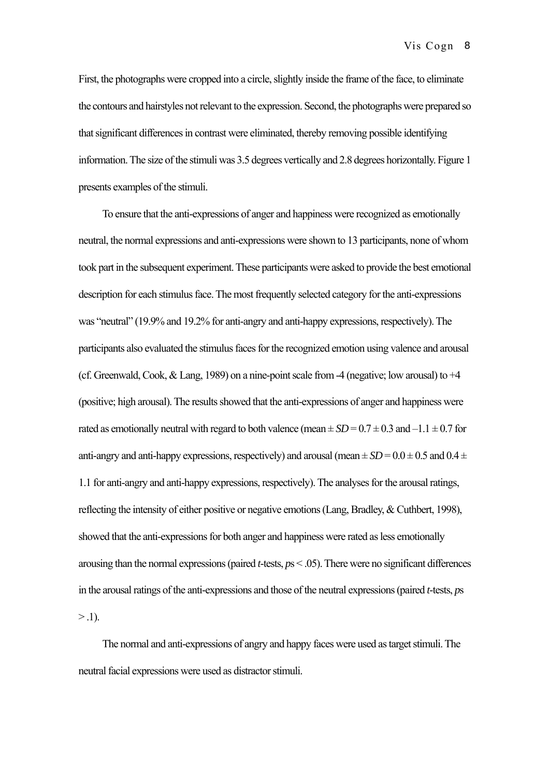First, the photographs were cropped into a circle, slightly inside the frame of the face, to eliminate the contours and hairstyles not relevant to the expression. Second, the photographs were prepared so that significant differences in contrast were eliminated, thereby removing possible identifying information. The size of the stimuli was 3.5 degrees vertically and 2.8 degrees horizontally. Figure 1 presents examples of the stimuli.

To ensure that the anti-expressions of anger and happiness were recognized as emotionally neutral, the normal expressions and anti-expressions were shown to 13 participants, none of whom took part in the subsequent experiment. These participants were asked to provide the best emotional description for each stimulus face. The most frequently selected category for the anti-expressions was "neutral" (19.9% and 19.2% for anti-angry and anti-happy expressions, respectively). The participants also evaluated the stimulus faces for the recognized emotion using valence and arousal (cf. Greenwald, Cook,  $&$  Lang, 1989) on a nine-point scale from -4 (negative; low arousal) to  $+4$ (positive; high arousal). The results showed that the anti-expressions of anger and happiness were rated as emotionally neutral with regard to both valence (mean  $\pm SD = 0.7 \pm 0.3$  and  $-1.1 \pm 0.7$  for anti-angry and anti-happy expressions, respectively) and arousal (mean  $\pm SD = 0.0 \pm 0.5$  and  $0.4 \pm 0.5$ 1.1 for anti-angry and anti-happy expressions, respectively). The analyses for the arousal ratings, reflecting the intensity of either positive or negative emotions (Lang, Bradley, & Cuthbert, 1998), showed that the anti-expressions for both anger and happiness were rated as less emotionally arousing than the normal expressions (paired *t*-tests, *p*s < .05). There were no significant differences in the arousal ratings of the anti-expressions and those of the neutral expressions (paired *t*-tests, *p*s  $> .1$ ).

The normal and anti-expressions of angry and happy faces were used as target stimuli. The neutral facial expressions were used as distractor stimuli.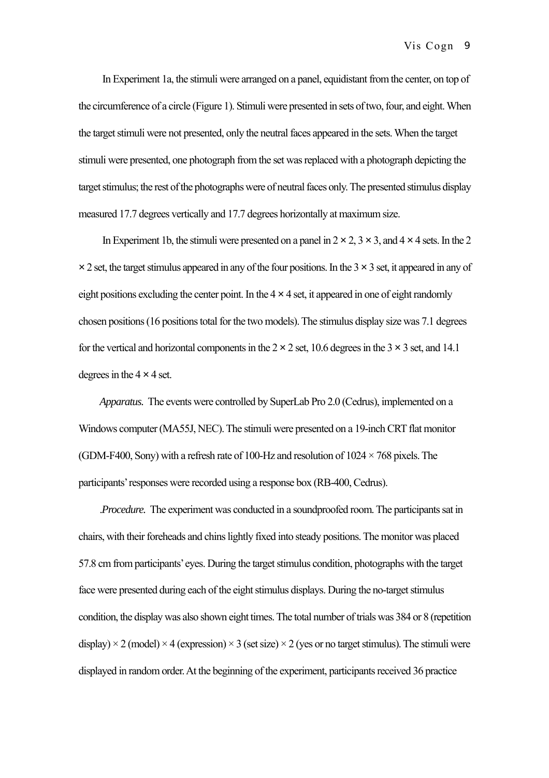In Experiment 1a, the stimuli were arranged on a panel, equidistant from the center, on top of the circumference of a circle (Figure 1). Stimuli were presented in sets of two, four, and eight. When the target stimuli were not presented, only the neutral faces appeared in the sets. When the target stimuli were presented, one photograph from the set was replaced with a photograph depicting the target stimulus; the rest of the photographs were of neutral faces only. The presented stimulus display measured 17.7 degrees vertically and 17.7 degrees horizontally at maximum size.

In Experiment 1b, the stimuli were presented on a panel in  $2 \times 2$ ,  $3 \times 3$ , and  $4 \times 4$  sets. In the 2  $\times$  2 set, the target stimulus appeared in any of the four positions. In the 3  $\times$  3 set, it appeared in any of eight positions excluding the center point. In the  $4 \times 4$  set, it appeared in one of eight randomly chosen positions (16 positions total for the two models). The stimulus display size was 7.1 degrees for the vertical and horizontal components in the  $2 \times 2$  set, 10.6 degrees in the  $3 \times 3$  set, and 14.1 degrees in the  $4 \times 4$  set.

*Apparatus.* The events were controlled by SuperLab Pro 2.0 (Cedrus), implemented on a Windows computer (MA55J, NEC). The stimuli were presented on a 19-inch CRT flat monitor (GDM-F400, Sony) with a refresh rate of 100-Hz and resolution of  $1024 \times 768$  pixels. The participants' responses were recorded using a response box (RB-400, Cedrus).

.*Procedure.* The experiment was conducted in a soundproofed room. The participants sat in chairs, with their foreheads and chins lightly fixed into steady positions. The monitor was placed 57.8 cm from participants' eyes. During the target stimulus condition, photographs with the target face were presented during each of the eight stimulus displays. During the no-target stimulus condition, the display was also shown eight times. The total number of trials was 384 or 8 (repetition display)  $\times$  2 (model)  $\times$  4 (expression)  $\times$  3 (set size)  $\times$  2 (yes or no target stimulus). The stimuli were displayed in random order. At the beginning of the experiment, participants received 36 practice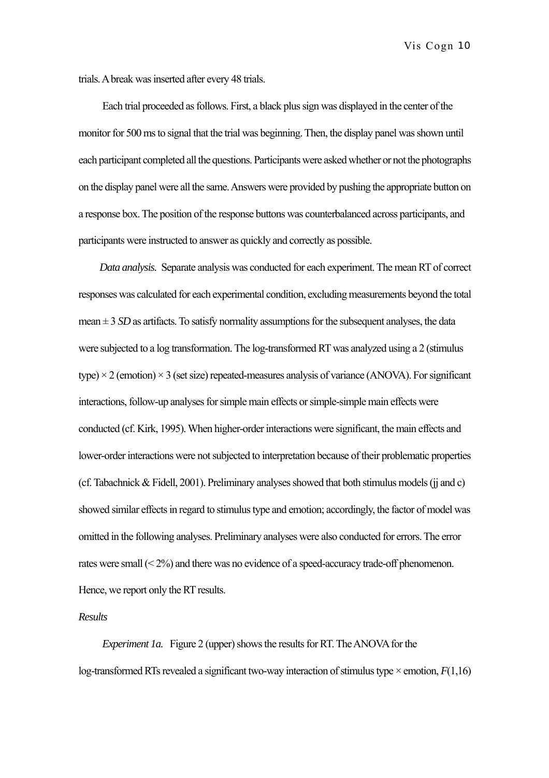trials. A break was inserted after every 48 trials.

Each trial proceeded as follows. First, a black plus sign was displayed in the center of the monitor for 500 ms to signal that the trial was beginning. Then, the display panel was shown until each participant completed all the questions. Participants were asked whether or not the photographs on the display panel were all the same. Answers were provided by pushing the appropriate button on a response box. The position of the response buttons was counterbalanced across participants, and participants were instructed to answer as quickly and correctly as possible.

*Data analysis.* Separate analysis was conducted for each experiment. The mean RT of correct responses was calculated for each experimental condition, excluding measurements beyond the total mean  $\pm$  3 *SD* as artifacts. To satisfy normality assumptions for the subsequent analyses, the data were subjected to a log transformation. The log-transformed RT was analyzed using a 2 (stimulus type)  $\times$  2 (emotion)  $\times$  3 (set size) repeated-measures analysis of variance (ANOVA). For significant interactions, follow-up analyses for simple main effects or simple-simple main effects were conducted (cf. Kirk, 1995). When higher-order interactions were significant, the main effects and lower-order interactions were not subjected to interpretation because of their problematic properties (cf. Tabachnick & Fidell, 2001). Preliminary analyses showed that both stimulus models (jj and c) showed similar effects in regard to stimulus type and emotion; accordingly, the factor of model was omitted in the following analyses. Preliminary analyses were also conducted for errors. The error rates were small (< 2%) and there was no evidence of a speed-accuracy trade-off phenomenon. Hence, we report only the RT results.

*Results* 

*Experiment 1a.* Figure 2 (upper) shows the results for RT. The ANOVA for the log-transformed RTs revealed a significant two-way interaction of stimulus type  $\times$  emotion,  $F(1,16)$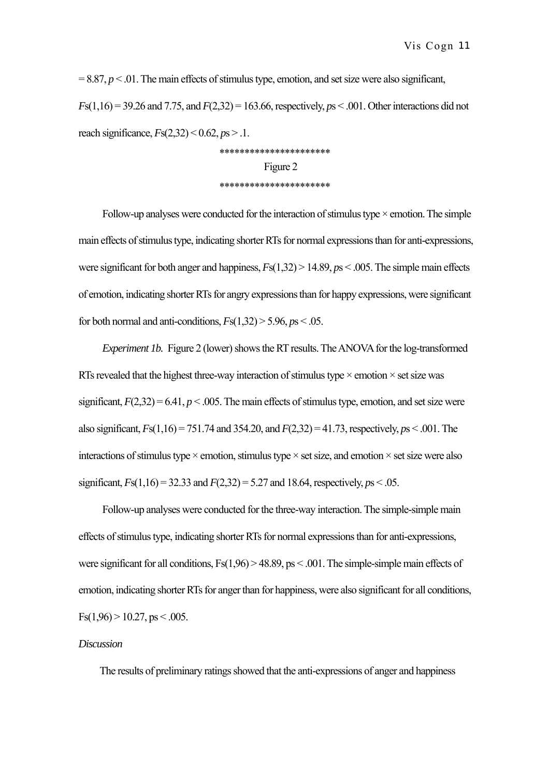$= 8.87, p < .01$ . The main effects of stimulus type, emotion, and set size were also significant, *F*s(1,16) = 39.26 and 7.75, and *F*(2,32) = 163.66, respectively, *p*s < .001. Other interactions did not reach significance, *F*s(2,32) < 0.62, *p*s > .1.

# \*\*\*\*\*\*\*\*\*\*\*\*\*\*\*\*\*\*\*\*\*\* Figure 2 \*\*\*\*\*\*\*\*\*\*\*\*\*\*\*\*\*\*\*\*\*\*

Follow-up analyses were conducted for the interaction of stimulus type  $\times$  emotion. The simple main effects of stimulus type, indicating shorter RTs for normal expressions than for anti-expressions, were significant for both anger and happiness, *F*s(1,32) > 14.89, *p*s < .005. The simple main effects of emotion, indicating shorter RTs for angry expressions than for happy expressions, were significant for both normal and anti-conditions,  $F_s(1,32) > 5.96$ ,  $p_s < .05$ .

*Experiment 1b.* Figure 2 (lower) shows the RT results. The ANOVA for the log-transformed RTs revealed that the highest three-way interaction of stimulus type  $\times$  emotion  $\times$  set size was significant,  $F(2,32) = 6.41$ ,  $p < .005$ . The main effects of stimulus type, emotion, and set size were also significant, *F*s(1,16) = 751.74 and 354.20, and *F*(2,32) = 41.73, respectively, *p*s < .001. The interactions of stimulus type  $\times$  emotion, stimulus type  $\times$  set size, and emotion  $\times$  set size were also significant,  $Fs(1,16) = 32.33$  and  $F(2,32) = 5.27$  and 18.64, respectively,  $ps < .05$ .

Follow-up analyses were conducted for the three-way interaction. The simple-simple main effects of stimulus type, indicating shorter RTs for normal expressions than for anti-expressions, were significant for all conditions,  $Fs(1,96) > 48.89$ ,  $ps < .001$ . The simple-simple main effects of emotion, indicating shorter RTs for anger than for happiness, were also significant for all conditions,  $Fs(1,96) > 10.27, ps < .005.$ 

## *Discussion*

The results of preliminary ratings showed that the anti-expressions of anger and happiness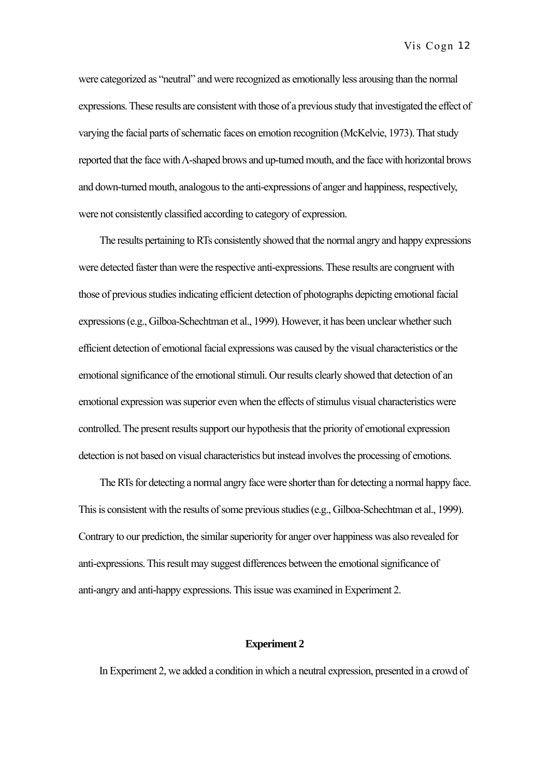were categorized as "neutral" and were recognized as emotionally less arousing than the normal expressions. These results are consistent with those of a previous study that investigated the effect of varying the facial parts of schematic faces on emotion recognition (McKelvie, 1973). That study reported that the face with Λ-shaped brows and up-turned mouth, and the face with horizontal brows and down-turned mouth, analogous to the anti-expressions of anger and happiness, respectively, were not consistently classified according to category of expression.

The results pertaining to RTs consistently showed that the normal angry and happy expressions were detected faster than were the respective anti-expressions. These results are congruent with those of previous studies indicating efficient detection of photographs depicting emotional facial expressions (e.g., Gilboa-Schechtman et al., 1999). However, it has been unclear whether such efficient detection of emotional facial expressions was caused by the visual characteristics or the emotional significance of the emotional stimuli. Our results clearly showed that detection of an emotional expression was superior even when the effects of stimulus visual characteristics were controlled. The present results support our hypothesis that the priority of emotional expression detection is not based on visual characteristics but instead involves the processing of emotions.

The RTs for detecting a normal angry face were shorter than for detecting a normal happy face. This is consistent with the results of some previous studies (e.g., Gilboa-Schechtman et al., 1999). Contrary to our prediction, the similar superiority for anger over happiness was also revealed for anti-expressions. This result may suggest differences between the emotional significance of anti-angry and anti-happy expressions. This issue was examined in Experiment 2.

## **Experiment 2**

In Experiment 2, we added a condition in which a neutral expression, presented in a crowd of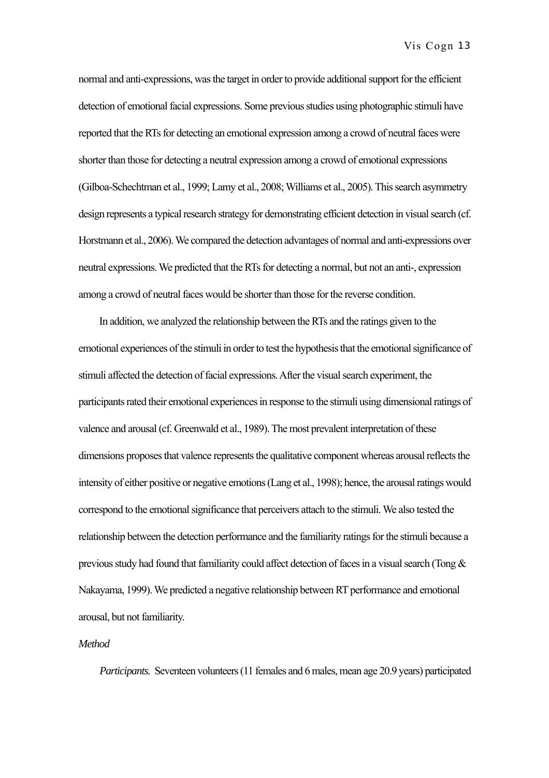normal and anti-expressions, was the target in order to provide additional support for the efficient detection of emotional facial expressions. Some previous studies using photographic stimuli have reported that the RTs for detecting an emotional expression among a crowd of neutral faces were shorter than those for detecting a neutral expression among a crowd of emotional expressions (Gilboa-Schechtman et al., 1999; Lamy et al., 2008; Williams et al., 2005). This search asymmetry design represents a typical research strategy for demonstrating efficient detection in visual search (cf. Horstmann et al., 2006). We compared the detection advantages of normal and anti-expressions over neutral expressions. We predicted that the RTs for detecting a normal, but not an anti-, expression among a crowd of neutral faces would be shorter than those for the reverse condition.

In addition, we analyzed the relationship between the RTs and the ratings given to the emotional experiences of the stimuli in order to test the hypothesis that the emotional significance of stimuli affected the detection of facial expressions. After the visual search experiment, the participants rated their emotional experiences in response to the stimuli using dimensional ratings of valence and arousal (cf. Greenwald et al., 1989). The most prevalent interpretation of these dimensions proposes that valence represents the qualitative component whereas arousal reflects the intensity of either positive or negative emotions (Lang et al., 1998); hence, the arousal ratings would correspond to the emotional significance that perceivers attach to the stimuli. We also tested the relationship between the detection performance and the familiarity ratings for the stimuli because a previous study had found that familiarity could affect detection of faces in a visual search (Tong & Nakayama, 1999). We predicted a negative relationship between RT performance and emotional arousal, but not familiarity.

## *Method*

*Participants.* Seventeen volunteers (11 females and 6 males, mean age 20.9 years) participated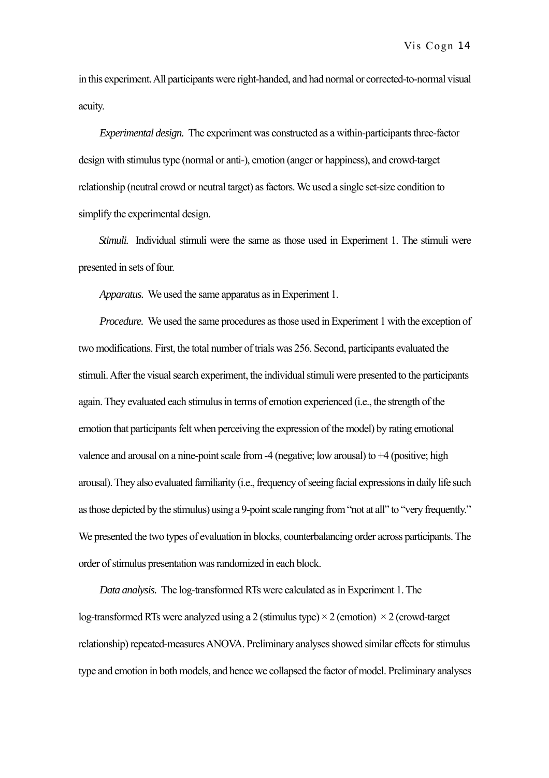in this experiment. All participants were right-handed, and had normal or corrected-to-normal visual acuity.

*Experimental design.* The experiment was constructed as a within-participants three-factor design with stimulus type (normal or anti-), emotion (anger or happiness), and crowd-target relationship (neutral crowd or neutral target) as factors. We used a single set-size condition to simplify the experimental design.

*Stimuli.* Individual stimuli were the same as those used in Experiment 1. The stimuli were presented in sets of four.

*Apparatus.* We used the same apparatus as in Experiment 1.

*Procedure.* We used the same procedures as those used in Experiment 1 with the exception of two modifications. First, the total number of trials was 256. Second, participants evaluated the stimuli. After the visual search experiment, the individual stimuli were presented to the participants again. They evaluated each stimulus in terms of emotion experienced (i.e., the strength of the emotion that participants felt when perceiving the expression of the model) by rating emotional valence and arousal on a nine-point scale from  $-4$  (negative; low arousal) to  $+4$  (positive; high arousal). They also evaluated familiarity (i.e., frequency of seeing facial expressions in daily life such as those depicted by the stimulus) using a 9-point scale ranging from "not at all" to "very frequently." We presented the two types of evaluation in blocks, counterbalancing order across participants. The order of stimulus presentation was randomized in each block.

*Data analysis.* The log-transformed RTs were calculated as in Experiment 1. The log-transformed RTs were analyzed using a 2 (stimulus type)  $\times$  2 (emotion)  $\times$  2 (crowd-target relationship) repeated-measures ANOVA. Preliminary analyses showed similar effects for stimulus type and emotion in both models, and hence we collapsed the factor of model. Preliminary analyses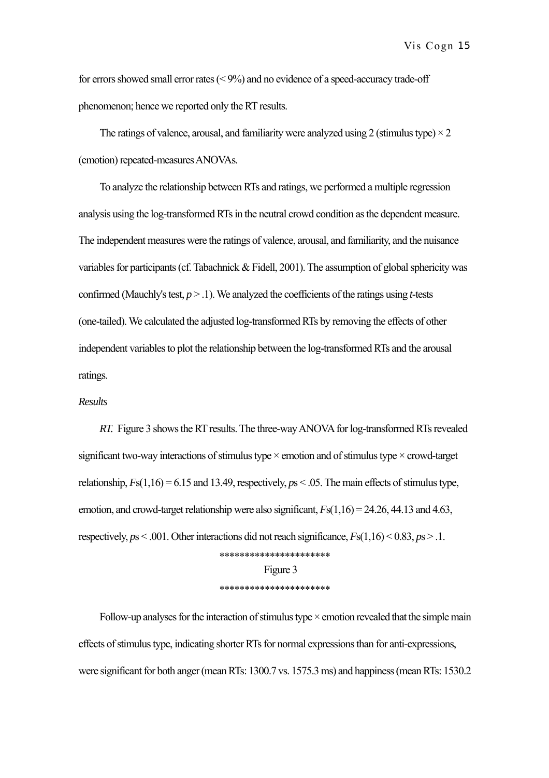for errors showed small error rates (< 9%) and no evidence of a speed-accuracy trade-off phenomenon; hence we reported only the RT results.

The ratings of valence, arousal, and familiarity were analyzed using 2 (stimulus type)  $\times$  2 (emotion) repeated-measures ANOVAs.

To analyze the relationship between RTs and ratings, we performed a multiple regression analysis using the log-transformed RTs in the neutral crowd condition as the dependent measure. The independent measures were the ratings of valence, arousal, and familiarity, and the nuisance variables for participants (cf. Tabachnick & Fidell, 2001). The assumption of global sphericity was confirmed (Mauchly's test, *p* > .1). We analyzed the coefficients of the ratings using *t*-tests (one-tailed). We calculated the adjusted log-transformed RTs by removing the effects of other independent variables to plot the relationship between the log-transformed RTs and the arousal ratings.

## *Results*

*RT.* Figure 3 shows the RT results. The three-way ANOVA for log-transformed RTs revealed significant two-way interactions of stimulus type  $\times$  emotion and of stimulus type  $\times$  crowd-target relationship,  $F_s(1,16) = 6.15$  and 13.49, respectively,  $p_s < .05$ . The main effects of stimulus type, emotion, and crowd-target relationship were also significant, *F*s(1,16) = 24.26, 44.13 and 4.63, respectively,  $ps < .001$ . Other interactions did not reach significance,  $Fs(1,16) < 0.83$ ,  $ps > .1$ . \*\*\*\*\*\*\*\*\*\*\*\*\*\*\*\*\*\*\*\*\*\*

Figure 3 \*\*\*\*\*\*\*\*\*\*\*\*\*\*\*\*\*\*\*\*\*\*

Follow-up analyses for the interaction of stimulus type  $\times$  emotion revealed that the simple main effects of stimulus type, indicating shorter RTs for normal expressions than for anti-expressions, were significant for both anger (mean RTs: 1300.7 vs. 1575.3 ms) and happiness (mean RTs: 1530.2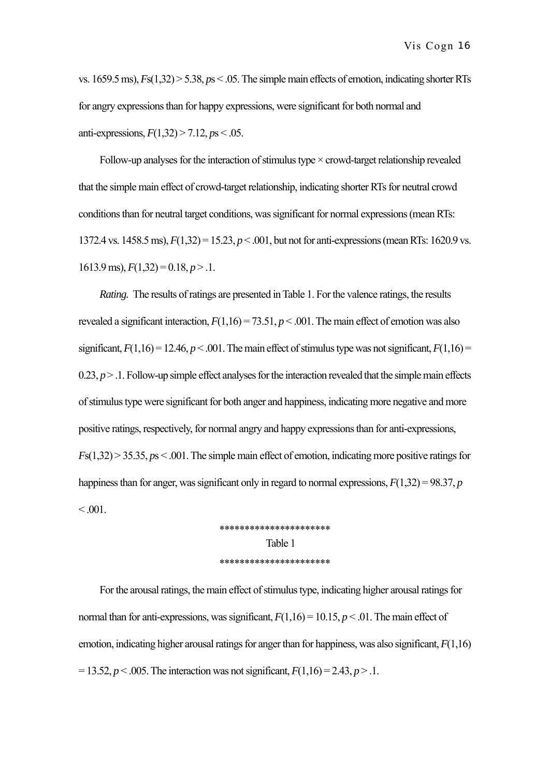vs. 1659.5 ms), *F*s(1,32) > 5.38, *p*s < .05. The simple main effects of emotion, indicating shorter RTs for angry expressions than for happy expressions, were significant for both normal and anti-expressions, *F*(1,32) > 7.12, *p*s < .05.

Follow-up analyses for the interaction of stimulus type  $\times$  crowd-target relationship revealed that the simple main effect of crowd-target relationship, indicating shorter RTs for neutral crowd conditions than for neutral target conditions, was significant for normal expressions (mean RTs: 1372.4 vs. 1458.5 ms), *F*(1,32) = 15.23, *p* < .001, but not for anti-expressions (mean RTs: 1620.9 vs.  $1613.9 \text{ ms}$ ,  $F(1,32) = 0.18$ ,  $p > 0.1$ .

*Rating.* The results of ratings are presented in Table 1. For the valence ratings, the results revealed a significant interaction,  $F(1,16) = 73.51$ ,  $p < .001$ . The main effect of emotion was also significant,  $F(1,16) = 12.46$ ,  $p < .001$ . The main effect of stimulus type was not significant,  $F(1,16) =$  $0.23, p > 0.1$ . Follow-up simple effect analyses for the interaction revealed that the simple main effects of stimulus type were significant for both anger and happiness, indicating more negative and more positive ratings, respectively, for normal angry and happy expressions than for anti-expressions, *F*s(1,32) > 35.35, *p*s < .001. The simple main effect of emotion, indicating more positive ratings for happiness than for anger, was significant only in regard to normal expressions,  $F(1,32) = 98.37$ , *p*  $< 0.001$ .

> \*\*\*\*\*\*\*\*\*\*\*\*\*\*\*\*\*\*\*\*\*\* Table 1 \*\*\*\*\*\*\*\*\*\*\*\*\*\*\*\*\*\*\*\*\*\*

For the arousal ratings, the main effect of stimulus type, indicating higher arousal ratings for normal than for anti-expressions, was significant,  $F(1,16) = 10.15$ ,  $p < .01$ . The main effect of emotion, indicating higher arousal ratings for anger than for happiness, was also significant, *F*(1,16)  $= 13.52, p < .005$ . The interaction was not significant,  $F(1,16) = 2.43, p > .1$ .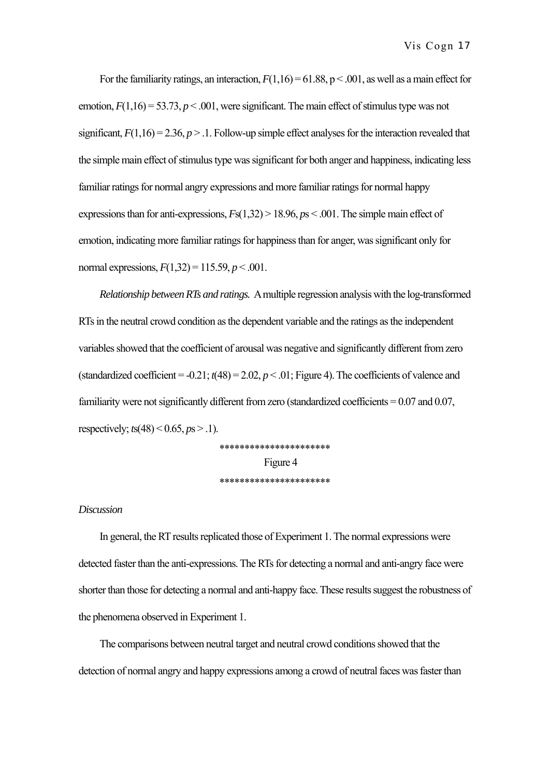For the familiarity ratings, an interaction,  $F(1,16) = 61.88$ ,  $p < .001$ , as well as a main effect for emotion,  $F(1,16) = 53.73$ ,  $p < .001$ , were significant. The main effect of stimulus type was not significant,  $F(1,16) = 2.36$ ,  $p > 1$ . Follow-up simple effect analyses for the interaction revealed that the simple main effect of stimulus type was significant for both anger and happiness, indicating less familiar ratings for normal angry expressions and more familiar ratings for normal happy expressions than for anti-expressions, *F*s(1,32) > 18.96, *p*s < .001. The simple main effect of emotion, indicating more familiar ratings for happiness than for anger, was significant only for normal expressions,  $F(1,32) = 115.59, p < .001$ .

*Relationship between RTs and ratings.* A multiple regression analysis with the log-transformed RTs in the neutral crowd condition as the dependent variable and the ratings as the independent variables showed that the coefficient of arousal was negative and significantly different from zero (standardized coefficient =  $-0.21$ ;  $t(48) = 2.02$ ,  $p < .01$ ; Figure 4). The coefficients of valence and familiarity were not significantly different from zero (standardized coefficients  $= 0.07$  and 0.07, respectively; *t*s(48) < 0.65, *p*s > .1).

> \*\*\*\*\*\*\*\*\*\*\*\*\*\*\*\*\*\*\*\*\*\* Figure 4 \*\*\*\*\*\*\*\*\*\*\*\*\*\*\*\*\*\*\*\*\*\*

## *Discussion*

In general, the RT results replicated those of Experiment 1. The normal expressions were detected faster than the anti-expressions. The RTs for detecting a normal and anti-angry face were shorter than those for detecting a normal and anti-happy face. These results suggest the robustness of the phenomena observed in Experiment 1.

The comparisons between neutral target and neutral crowd conditions showed that the detection of normal angry and happy expressions among a crowd of neutral faces was faster than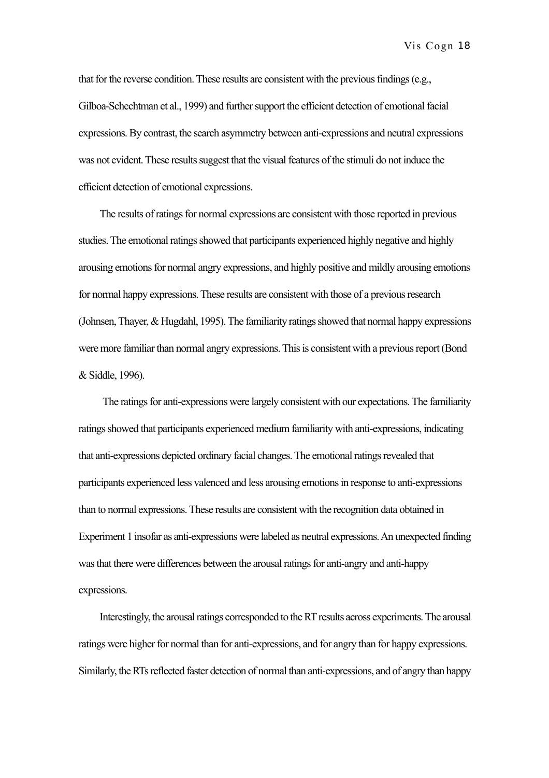that for the reverse condition. These results are consistent with the previous findings (e.g., Gilboa-Schechtman et al., 1999) and further support the efficient detection of emotional facial expressions. By contrast, the search asymmetry between anti-expressions and neutral expressions was not evident. These results suggest that the visual features of the stimuli do not induce the efficient detection of emotional expressions.

The results of ratings for normal expressions are consistent with those reported in previous studies. The emotional ratings showed that participants experienced highly negative and highly arousing emotions for normal angry expressions, and highly positive and mildly arousing emotions for normal happy expressions. These results are consistent with those of a previous research (Johnsen, Thayer, & Hugdahl, 1995). The familiarity ratings showed that normal happy expressions were more familiar than normal angry expressions. This is consistent with a previous report (Bond & Siddle, 1996).

The ratings for anti-expressions were largely consistent with our expectations. The familiarity ratings showed that participants experienced medium familiarity with anti-expressions, indicating that anti-expressions depicted ordinary facial changes. The emotional ratings revealed that participants experienced less valenced and less arousing emotions in response to anti-expressions than to normal expressions. These results are consistent with the recognition data obtained in Experiment 1 insofar as anti-expressions were labeled as neutral expressions. An unexpected finding was that there were differences between the arousal ratings for anti-angry and anti-happy expressions.

Interestingly, the arousal ratings corresponded to the RT results across experiments. The arousal ratings were higher for normal than for anti-expressions, and for angry than for happy expressions. Similarly, the RTs reflected faster detection of normal than anti-expressions, and of angry than happy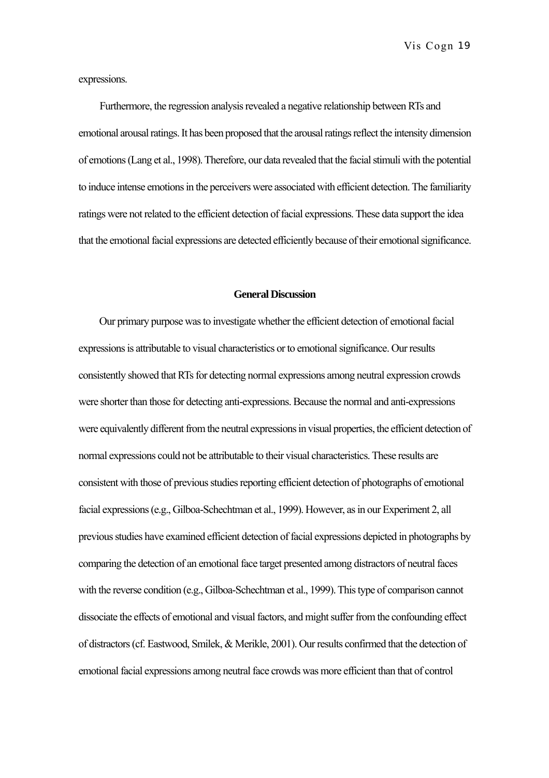expressions.

Furthermore, the regression analysis revealed a negative relationship between RTs and emotional arousal ratings. It has been proposed that the arousal ratings reflect the intensity dimension of emotions (Lang et al., 1998). Therefore, our data revealed that the facial stimuli with the potential to induce intense emotions in the perceivers were associated with efficient detection. The familiarity ratings were not related to the efficient detection of facial expressions. These data support the idea that the emotional facial expressions are detected efficiently because of their emotional significance.

#### **General Discussion**

Our primary purpose was to investigate whether the efficient detection of emotional facial expressions is attributable to visual characteristics or to emotional significance. Our results consistently showed that RTs for detecting normal expressions among neutral expression crowds were shorter than those for detecting anti-expressions. Because the normal and anti-expressions were equivalently different from the neutral expressions in visual properties, the efficient detection of normal expressions could not be attributable to their visual characteristics. These results are consistent with those of previous studies reporting efficient detection of photographs of emotional facial expressions (e.g., Gilboa-Schechtman et al., 1999). However, as in our Experiment 2, all previous studies have examined efficient detection of facial expressions depicted in photographs by comparing the detection of an emotional face target presented among distractors of neutral faces with the reverse condition (e.g., Gilboa-Schechtman et al., 1999). This type of comparison cannot dissociate the effects of emotional and visual factors, and might suffer from the confounding effect of distractors (cf. Eastwood, Smilek, & Merikle, 2001). Our results confirmed that the detection of emotional facial expressions among neutral face crowds was more efficient than that of control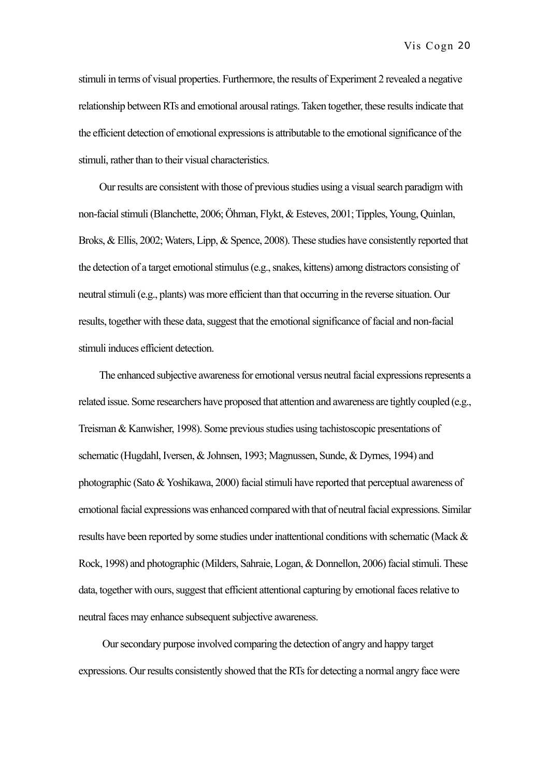stimuli in terms of visual properties. Furthermore, the results of Experiment 2 revealed a negative relationship between RTs and emotional arousal ratings. Taken together, these results indicate that the efficient detection of emotional expressions is attributable to the emotional significance of the stimuli, rather than to their visual characteristics.

Our results are consistent with those of previous studies using a visual search paradigm with non-facial stimuli (Blanchette, 2006; Öhman, Flykt, & Esteves, 2001; Tipples, Young, Quinlan, Broks, & Ellis, 2002; Waters, Lipp, & Spence, 2008). These studies have consistently reported that the detection of a target emotional stimulus (e.g., snakes, kittens) among distractors consisting of neutral stimuli (e.g., plants) was more efficient than that occurring in the reverse situation. Our results, together with these data, suggest that the emotional significance of facial and non-facial stimuli induces efficient detection.

The enhanced subjective awareness for emotional versus neutral facial expressions represents a related issue. Some researchers have proposed that attention and awareness are tightly coupled (e.g., Treisman & Kanwisher, 1998). Some previous studies using tachistoscopic presentations of schematic (Hugdahl, Iversen, & Johnsen, 1993; Magnussen, Sunde, & Dyrnes, 1994) and photographic (Sato & Yoshikawa, 2000) facial stimuli have reported that perceptual awareness of emotional facial expressions was enhanced compared with that of neutral facial expressions. Similar results have been reported by some studies under inattentional conditions with schematic (Mack & Rock, 1998) and photographic (Milders, Sahraie, Logan, & Donnellon, 2006) facial stimuli. These data, together with ours, suggest that efficient attentional capturing by emotional faces relative to neutral faces may enhance subsequent subjective awareness.

Our secondary purpose involved comparing the detection of angry and happy target expressions. Our results consistently showed that the RTs for detecting a normal angry face were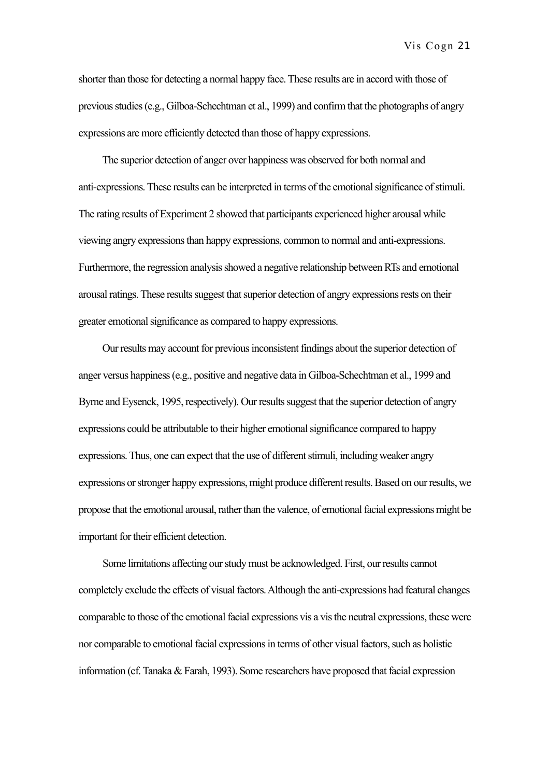shorter than those for detecting a normal happy face. These results are in accord with those of previous studies (e.g., Gilboa-Schechtman et al., 1999) and confirm that the photographs of angry expressions are more efficiently detected than those of happy expressions.

The superior detection of anger over happiness was observed for both normal and anti-expressions. These results can be interpreted in terms of the emotional significance of stimuli. The rating results of Experiment 2 showed that participants experienced higher arousal while viewing angry expressions than happy expressions, common to normal and anti-expressions. Furthermore, the regression analysis showed a negative relationship between RTs and emotional arousal ratings. These results suggest that superior detection of angry expressions rests on their greater emotional significance as compared to happy expressions.

Our results may account for previous inconsistent findings about the superior detection of anger versus happiness (e.g., positive and negative data in Gilboa-Schechtman et al., 1999 and Byrne and Eysenck, 1995, respectively). Our results suggest that the superior detection of angry expressions could be attributable to their higher emotional significance compared to happy expressions. Thus, one can expect that the use of different stimuli, including weaker angry expressions or stronger happy expressions, might produce different results. Based on our results, we propose that the emotional arousal, rather than the valence, of emotional facial expressions might be important for their efficient detection.

Some limitations affecting our study must be acknowledged. First, our results cannot completely exclude the effects of visual factors. Although the anti-expressions had featural changes comparable to those of the emotional facial expressions vis a vis the neutral expressions, these were nor comparable to emotional facial expressions in terms of other visual factors, such as holistic information (cf. Tanaka & Farah, 1993). Some researchers have proposed that facial expression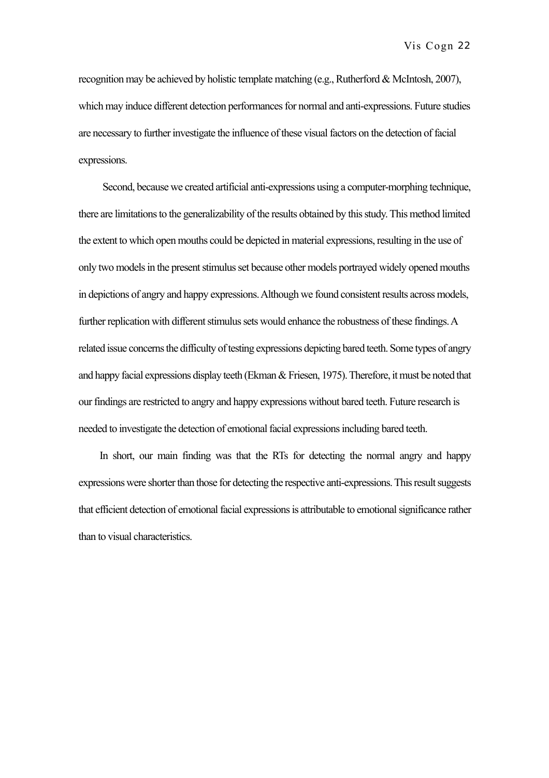recognition may be achieved by holistic template matching (e.g., Rutherford & McIntosh, 2007), which may induce different detection performances for normal and anti-expressions. Future studies are necessary to further investigate the influence of these visual factors on the detection of facial expressions.

Second, because we created artificial anti-expressions using a computer-morphing technique, there are limitations to the generalizability of the results obtained by this study. This method limited the extent to which open mouths could be depicted in material expressions, resulting in the use of only two models in the present stimulus set because other models portrayed widely opened mouths in depictions of angry and happy expressions. Although we found consistent results across models, further replication with different stimulus sets would enhance the robustness of these findings. A related issue concerns the difficulty of testing expressions depicting bared teeth. Some types of angry and happy facial expressions display teeth (Ekman & Friesen, 1975). Therefore, it must be noted that our findings are restricted to angry and happy expressions without bared teeth. Future research is needed to investigate the detection of emotional facial expressions including bared teeth.

In short, our main finding was that the RTs for detecting the normal angry and happy expressions were shorter than those for detecting the respective anti-expressions. This result suggests that efficient detection of emotional facial expressions is attributable to emotional significance rather than to visual characteristics.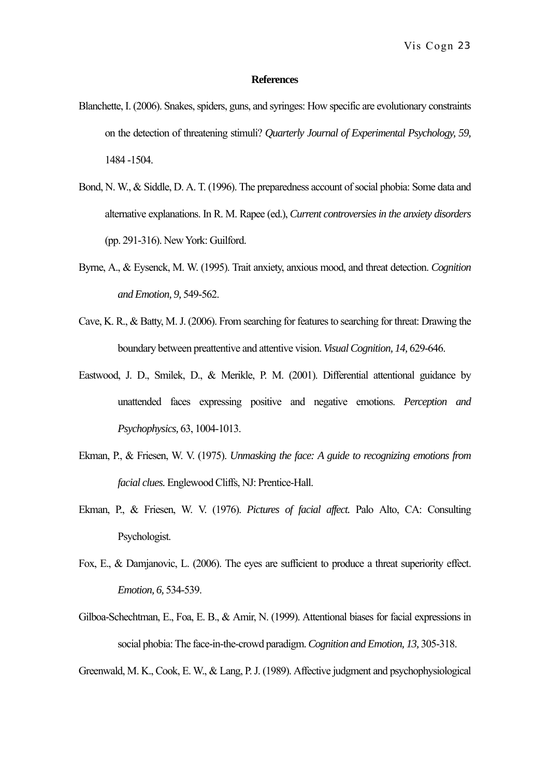## **References**

- Blanchette, I. (2006). Snakes, spiders, guns, and syringes: How specific are evolutionary constraints on the detection of threatening stimuli? *Quarterly Journal of Experimental Psychology, 59,* 1484 -1504.
- Bond, N. W., & Siddle, D. A. T. (1996). The preparedness account of social phobia: Some data and alternative explanations. In R. M. Rapee (ed.), *Current controversies in the anxiety disorders* (pp. 291-316). New York: Guilford.
- Byrne, A., & Eysenck, M. W. (1995). Trait anxiety, anxious mood, and threat detection. *Cognition and Emotion, 9,* 549-562.
- Cave, K. R., & Batty, M. J. (2006). From searching for features to searching for threat: Drawing the boundary between preattentive and attentive vision. *Visual Cognition, 14,* 629-646.
- Eastwood, J. D., Smilek, D., & Merikle, P. M. (2001). Differential attentional guidance by unattended faces expressing positive and negative emotions. *Perception and Psychophysics,* 63, 1004-1013.
- Ekman, P., & Friesen, W. V. (1975). *Unmasking the face: A guide to recognizing emotions from facial clues.* Englewood Cliffs, NJ: Prentice-Hall.
- Ekman, P., & Friesen, W. V. (1976). *Pictures of facial affect.* Palo Alto, CA: Consulting Psychologist.
- Fox, E., & Damjanovic, L. (2006). The eyes are sufficient to produce a threat superiority effect. *Emotion, 6,* 534-539.
- Gilboa-Schechtman, E., Foa, E. B., & Amir, N. (1999). Attentional biases for facial expressions in social phobia: The face-in-the-crowd paradigm. *Cognition and Emotion, 13,* 305-318.

Greenwald, M. K., Cook, E. W., & Lang, P. J. (1989). Affective judgment and psychophysiological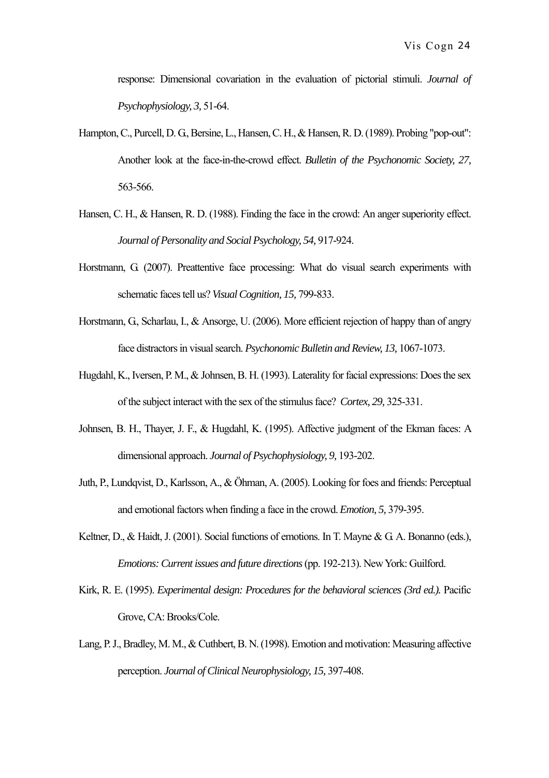response: Dimensional covariation in the evaluation of pictorial stimuli. *Journal of Psychophysiology, 3,* 51-64.

- Hampton, C., Purcell, D. G., Bersine, L., Hansen, C. H., & Hansen, R. D. (1989). Probing "pop-out": Another look at the face-in-the-crowd effect. *Bulletin of the Psychonomic Society, 27,*  563-566.
- Hansen, C. H., & Hansen, R. D. (1988). Finding the face in the crowd: An anger superiority effect. *Journal of Personality and Social Psychology, 54,* 917-924.
- Horstmann, G. (2007). Preattentive face processing: What do visual search experiments with schematic faces tell us? *Visual Cognition, 15,* 799-833.
- Horstmann, G., Scharlau, I., & Ansorge, U. (2006). More efficient rejection of happy than of angry face distractors in visual search. *Psychonomic Bulletin and Review, 13,* 1067-1073.
- Hugdahl, K., Iversen, P. M., & Johnsen, B. H. (1993). Laterality for facial expressions: Does the sex of the subject interact with the sex of the stimulus face? *Cortex, 29,* 325-331.
- Johnsen, B. H., Thayer, J. F., & Hugdahl, K. (1995). Affective judgment of the Ekman faces: A dimensional approach. *Journal of Psychophysiology, 9,* 193-202.
- Juth, P., Lundqvist, D., Karlsson, A., & Öhman, A. (2005). Looking for foes and friends: Perceptual and emotional factors when finding a face in the crowd. *Emotion, 5,* 379-395.
- Keltner, D., & Haidt, J. (2001). Social functions of emotions. In T. Mayne & G. A. Bonanno (eds.), *Emotions: Current issues and future directions* (pp. 192-213). New York: Guilford.
- Kirk, R. E. (1995). *Experimental design: Procedures for the behavioral sciences (3rd ed.).* Pacific Grove, CA: Brooks/Cole.
- Lang, P. J., Bradley, M. M., & Cuthbert, B. N. (1998). Emotion and motivation: Measuring affective perception. *Journal of Clinical Neurophysiology, 15,* 397-408.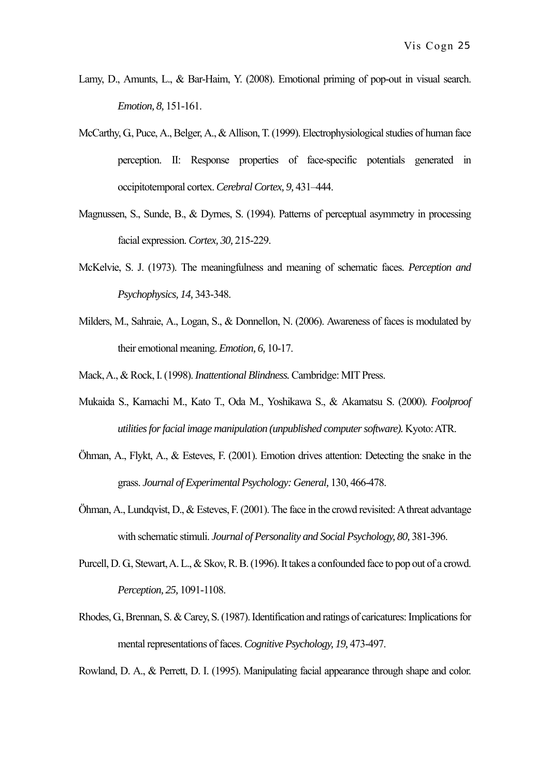- Lamy, D., Amunts, L., & Bar-Haim, Y. (2008). Emotional priming of pop-out in visual search. *Emotion, 8,* 151-161.
- McCarthy, G., Puce, A., Belger, A., & Allison, T. (1999). Electrophysiological studies of human face perception. II: Response properties of face-specific potentials generated in occipitotemporal cortex. *Cerebral Cortex, 9,* 431–444.
- Magnussen, S., Sunde, B., & Dyrnes, S. (1994). Patterns of perceptual asymmetry in processing facial expression. *Cortex, 30,* 215-229.
- McKelvie, S. J. (1973). The meaningfulness and meaning of schematic faces. *Perception and Psychophysics, 14,* 343-348.
- Milders, M., Sahraie, A., Logan, S., & Donnellon, N. (2006). Awareness of faces is modulated by their emotional meaning. *Emotion, 6,* 10-17.
- Mack, A., & Rock, I. (1998). *Inattentional Blindness.* Cambridge: MIT Press.
- Mukaida S., Kamachi M., Kato T., Oda M., Yoshikawa S., & Akamatsu S. (2000). *Foolproof utilities for facial image manipulation (unpublished computer software).* Kyoto: ATR.
- Öhman, A., Flykt, A., & Esteves, F. (2001). Emotion drives attention: Detecting the snake in the grass. *Journal of Experimental Psychology: General,* 130, 466-478.
- Öhman, A., Lundqvist, D., & Esteves, F. (2001). The face in the crowd revisited: A threat advantage with schematic stimuli. *Journal of Personality and Social Psychology, 80, 381-396.*
- Purcell, D. G., Stewart, A. L., & Skov, R. B. (1996). It takes a confounded face to pop out of a crowd. *Perception, 25,* 1091-1108.
- Rhodes, G., Brennan, S. & Carey, S. (1987). Identification and ratings of caricatures: Implications for mental representations of faces. *Cognitive Psychology, 19, 473-497*.

Rowland, D. A., & Perrett, D. I. (1995). Manipulating facial appearance through shape and color.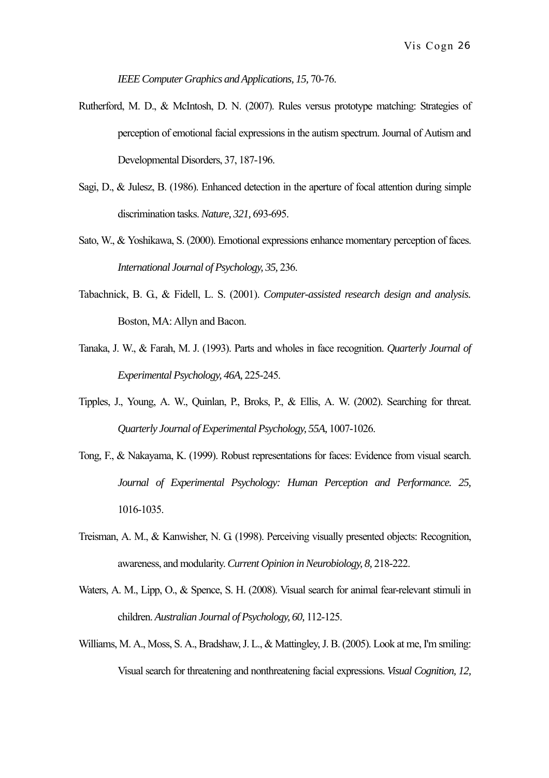*IEEE Computer Graphics and Applications, 15,* 70-76.

- Rutherford, M. D., & McIntosh, D. N. (2007). Rules versus prototype matching: Strategies of perception of emotional facial expressions in the autism spectrum. Journal of Autism and Developmental Disorders, 37, 187-196.
- Sagi, D., & Julesz, B. (1986). Enhanced detection in the aperture of focal attention during simple discrimination tasks. *Nature, 321,* 693-695.
- Sato, W., & Yoshikawa, S. (2000). Emotional expressions enhance momentary perception of faces. *International Journal of Psychology, 35,* 236.
- Tabachnick, B. G., & Fidell, L. S. (2001). *Computer-assisted research design and analysis.*  Boston, MA: Allyn and Bacon.
- Tanaka, J. W., & Farah, M. J. (1993). Parts and wholes in face recognition. *Quarterly Journal of Experimental Psychology, 46A,* 225-245.
- Tipples, J., Young, A. W., Quinlan, P., Broks, P., & Ellis, A. W. (2002). Searching for threat. *Quarterly Journal of Experimental Psychology, 55A,* 1007-1026.
- Tong, F., & Nakayama, K. (1999). Robust representations for faces: Evidence from visual search. *Journal of Experimental Psychology: Human Perception and Performance. 25,* 1016-1035.
- Treisman, A. M., & Kanwisher, N. G. (1998). Perceiving visually presented objects: Recognition, awareness, and modularity. *Current Opinion in Neurobiology, 8,* 218-222.
- Waters, A. M., Lipp, O., & Spence, S. H. (2008). Visual search for animal fear-relevant stimuli in children. *Australian Journal of Psychology, 60,* 112-125.
- Williams, M. A., Moss, S. A., Bradshaw, J. L., & Mattingley, J. B. (2005). Look at me, I'm smiling: Visual search for threatening and nonthreatening facial expressions. *Visual Cognition, 12,*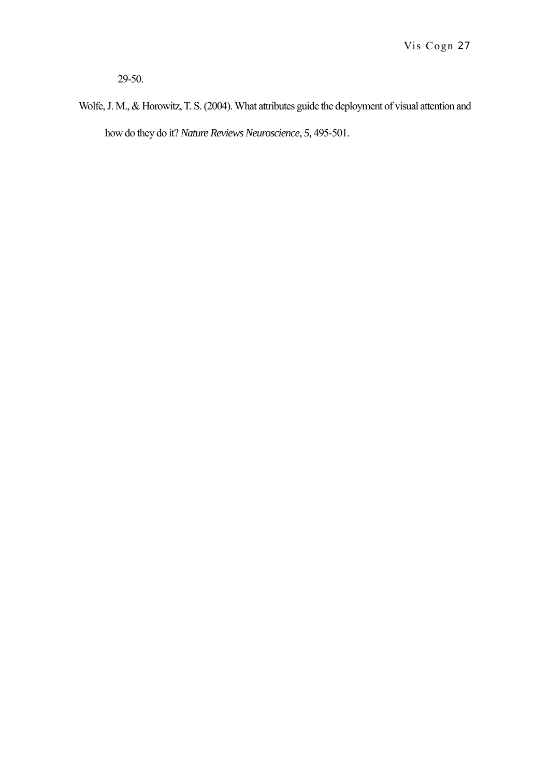29-50.

Wolfe, J. M., & Horowitz, T. S. (2004). What attributes guide the deployment of visual attention and how do they do it? *Nature Reviews Neuroscience, 5,* 495-501.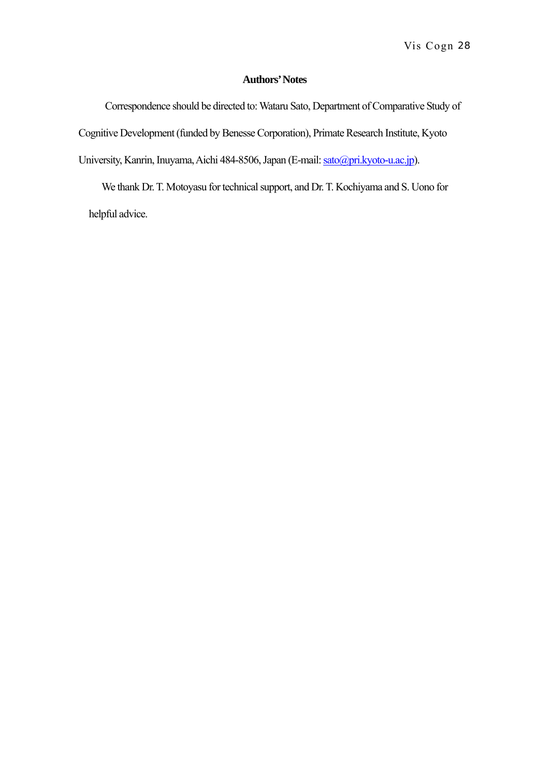# **Authors' Notes**

Correspondence should be directed to: Wataru Sato, Department of Comparative Study of Cognitive Development (funded by Benesse Corporation), Primate Research Institute, Kyoto University, Kanrin, Inuyama, Aichi 484-8506, Japan (E-mail: [sato@pri.kyoto-u.ac.jp\)](mailto:sato@pri.kyoto-u.ac.jp).

We thank Dr. T. Motoyasu for technical support, and Dr. T. Kochiyama and S. Uono for helpful advice.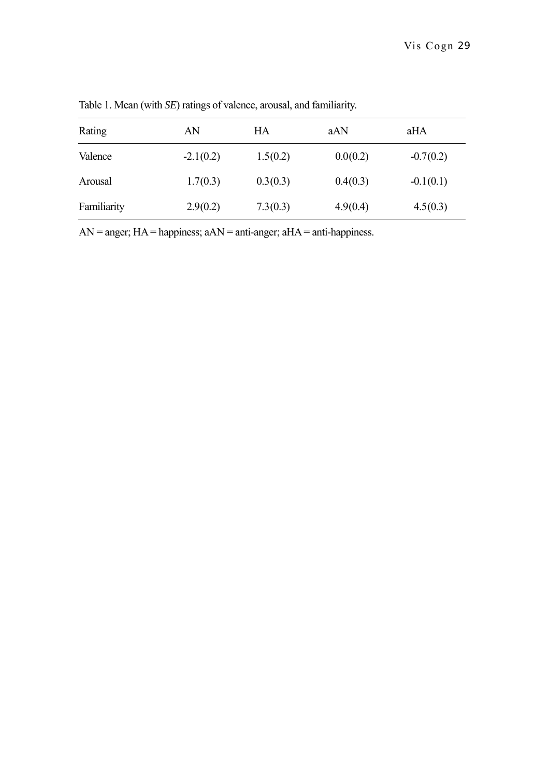| Rating      | AN          | HA       | aAN      | aHA         |  |
|-------------|-------------|----------|----------|-------------|--|
| Valence     | $-2.1(0.2)$ | 1.5(0.2) | 0.0(0.2) | $-0.7(0.2)$ |  |
| Arousal     | 1.7(0.3)    | 0.3(0.3) | 0.4(0.3) | $-0.1(0.1)$ |  |
| Familiarity | 2.9(0.2)    | 7.3(0.3) | 4.9(0.4) | 4.5(0.3)    |  |

Table 1. Mean (with *SE*) ratings of valence, arousal, and familiarity.

 $AN =$  anger;  $HA =$  happiness;  $aAN =$  anti-anger;  $aHA =$  anti-happiness.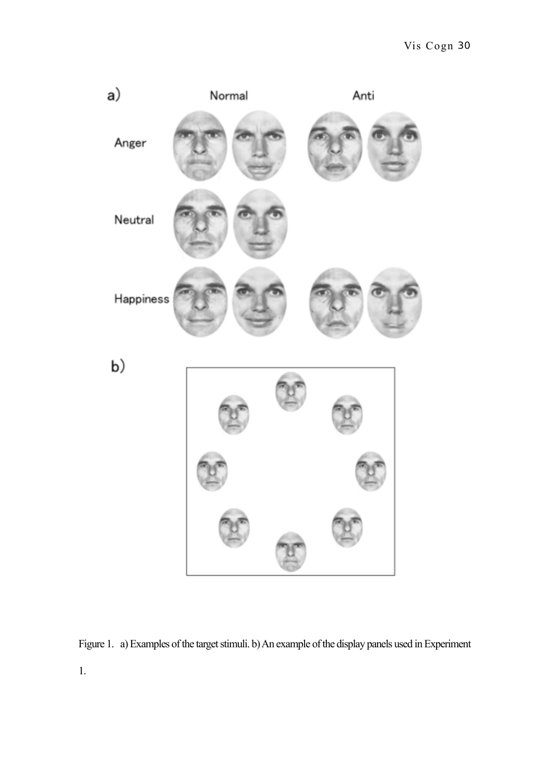

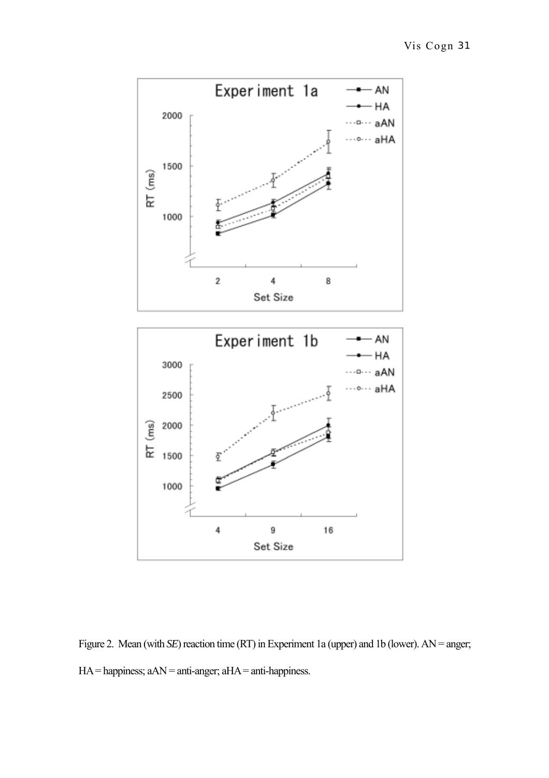

Figure 2. Mean (with *SE*) reaction time (RT) in Experiment 1a (upper) and 1b (lower). AN = anger; HA = happiness; aAN = anti-anger; aHA = anti-happiness.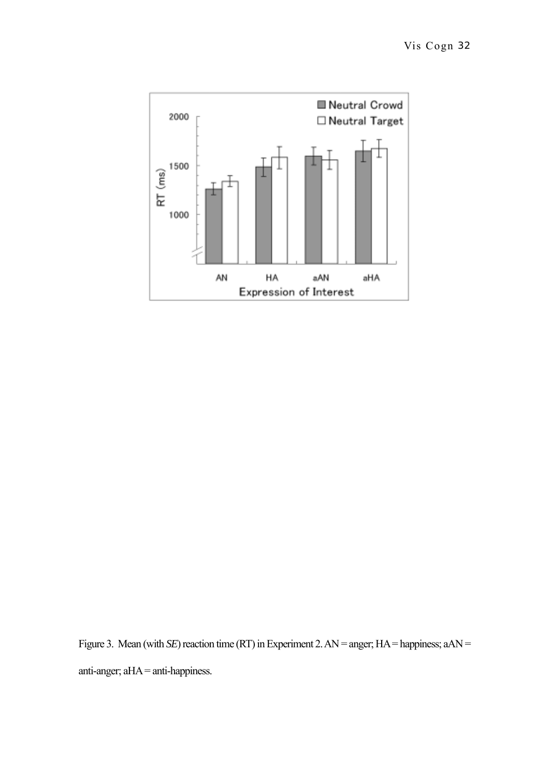

Figure 3. Mean (with *SE*) reaction time (RT) in Experiment 2. AN = anger; HA = happiness; aAN = anti-anger; aHA = anti-happiness.